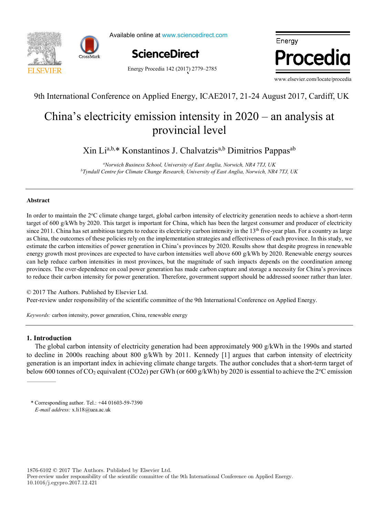

Available online at www.sciencedirect.com

Energy Procedia 142 (2017) 2779–2785



Energy Procedia

www.elsevier.com/locate/procedia

9th International Conference on Applied Energy, ICAE2017, 21-24 August 2017, Cardiff, UK

# provincial level China's electricity emission intensity in 2020 – an analysis at

Xin Li<sup>a,b,\*</sup> Konstantinos J. Chalvatzis<sup>a,b</sup> Dimitrios Pappas<sup>ab</sup>

<sup>a</sup><br>*Norwich Business School, University of East Anglia, Norwich, NR4 7TJ, UK*  $\frac{1}{2}$  $\cdot$  Ferra $\cdot$ , J. Fournier<br>J. J. Fournier<br>J. Fournier  $B_{\text{max}}$  $\sim$ *b Tyndall Centre for Climate Change Research, University of East Anglia, Norwich, NR4 7TJ, UK*

# **Abstract**

as China, the outcomes of these policies rely on the implementation strategies and effectiveness of each province. In this study, we energy growth most provinces are expected to have carbon intensities well above 600 g/kWh by 2020. Renewable energy sources can help reduce carbon intensities in most provinces, but the magnitude of such impacts depends on the coordination among provinces. The over-dependence on coal power generation has made carbon capture and storage a necessity for China's provinces to reduce their carbon intensity for power generation. Therefore, government support should be addressed sooner rather than later.  $T_{\rm eff}$  scope of this paper is to assess the feature function for  $\mu$ In order to maintain the 2<sup>o</sup>C climate change target, global carbon intensity of electricity generation needs to achieve a short-term target of 600 g/kWh by 2020. This target is important for China, which has been the largest consumer and producer of electricity since 2011. China has set ambitious targets to reduce its electricity carbon intensity in the  $13<sup>th</sup>$  five-year plan. For a country as large estimate the carbon intensities of power generation in China's provinces by 2020. Results show that despite progress in renewable

© 2017 The Authors. Published by Elsevier Ltd. Peer-review under responsibility of the scientific committee of the 9th International Conference on Applied Energy. renovation scenarios were developed (shallow, intermediate, deep). To estimate the error, obtained heat demand values were

Keywords: carbon intensity, power generation, China, renewable energy The results showed that when only weather change is considered, the margin of error could be acceptable for some applications

#### $\sum_{n=1}^{\infty}$ **1. Introduction**

The global carbon intensity of electricity generation had been approximately 900 g/kWh in the 1990s and started to decline in 2000s reaching about 800 g/kWh by 2011. Kennedy [1] argues that carbon intensity of electricity renovation scenarios considered to other hand, function intervention interest in the other hand, function intervention of  $\mathbb{R}^n$ . generation is an important index in achieving climate change targets. The author concludes that a short-term target of below 600 tonnes of CO<sub>2</sub> equivalent (CO2e) per GWh (or 600 g/kWh) by 2020 is essential to achieve the 2<sup>o</sup>C emission

 $*$  Corresponding author. Tel.:  $+44$  01603-59-7390 *E-mail address:* x.li18@uea.ac.uk

1876-6102 © 2017 The Authors. Published by Elsevier Ltd. Peer-review under responsibility of the scientific committee of the 9th International Conference on Applied Energy. 10.1016/j.egypro.2017.12.421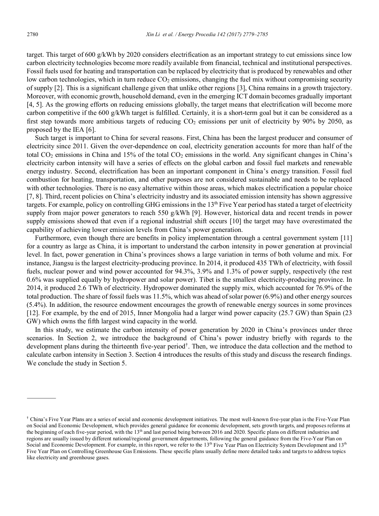target. This target of 600 g/kWh by 2020 considers electrification as an important strategy to cut emissions since low carbon electricity technologies become more readily available from financial, technical and institutional perspectives. Fossil fuels used for heating and transportation can be replaced by electricity that is produced by renewables and other low carbon technologies, which in turn reduce  $CO<sub>2</sub>$  emissions, changing the fuel mix without compromising security of supply [2]. This is a significant challenge given that unlike other regions [3], China remains in a growth trajectory. Moreover, with economic growth, household demand, even in the emerging ICT domain becomes gradually important [4, 5]. As the growing efforts on reducing emissions globally, the target means that electrification will become more carbon competitive if the 600 g/kWh target is fulfilled. Certainly, it is a short-term goal but it can be considered as a first step towards more ambitious targets of reducing  $CO<sub>2</sub>$  emissions per unit of electricity by 90% by 2050, as proposed by the IEA [6].

Such target is important to China for several reasons. First, China has been the largest producer and consumer of electricity since 2011. Given the over-dependence on coal, electricity generation accounts for more than half of the total  $CO_2$  emissions in China and 15% of the total  $CO_2$  emissions in the world. Any significant changes in China's electricity carbon intensity will have a series of effects on the global carbon and fossil fuel markets and renewable energy industry. Second, electrification has been an important component in China's energy transition. Fossil fuel combustion for heating, transportation, and other purposes are not considered sustainable and needs to be replaced with other technologies. There is no easy alternative within those areas, which makes electrification a popular choice [7, 8]. Third, recent policies on China's electricity industry and its associated emission intensity has shown aggressive targets. For example, policy on controlling GHG emissions in the  $13<sup>th</sup>$  Five Year period has stated a target of electricity supply from major power generators to reach 550 g/kWh [9]. However, historical data and recent trends in power supply emissions showed that even if a regional industrial shift occurs [10] the target may have overestimated the capability of achieving lower emission levels from China's power generation.

Furthermore, even though there are benefits in policy implementation through a central government system [11] for a country as large as China, it is important to understand the carbon intensity in power generation at provincial level. In fact, power generation in China's provinces shows a large variation in terms of both volume and mix. For instance, Jiangsu is the largest electricity-producing province. In 2014, it produced 435 TWh of electricity, with fossil fuels, nuclear power and wind power accounted for 94.3%, 3.9% and 1.3% of power supply, respectively (the rest 0.6% was supplied equally by hydropower and solar power). Tibet is the smallest electricity-producing province. In 2014, it produced 2.6 TWh of electricity. Hydropower dominated the supply mix, which accounted for 76.9% of the total production. The share of fossil fuels was 11.5%, which was ahead of solar power (6.9%) and other energy sources (5.4%). In addition, the resource endowment encourages the growth of renewable energy sources in some provinces [12]. For example, by the end of 2015, Inner Mongolia had a larger wind power capacity (25.7 GW) than Spain (23 GW) which owns the fifth largest wind capacity in the world.

In this study, we estimate the carbon intensity of power generation by 2020 in China's provinces under three scenarios. In Section 2, we introduce the background of China's power industry briefly with regards to the development plans during the thirteenth five-year period†. Then, we introduce the data collection and the method to calculate carbon intensity in Section 3. Section 4 introduces the results of this study and discuss the research findings. We conclude the study in Section 5.

<sup>†</sup> China's Five Year Plans are a series of social and economic development initiatives. The most well-known five-year plan is the Five-Year Plan on Social and Economic Development, which provides general guidance for economic development, sets growth targets, and proposes reforms at the beginning of each five-year period, with the 13<sup>th</sup> and last period being between 2016 and 2020. Specific plans on different industries and regions are usually issued by different national/regional government departments, following the general guidance from the Five-Year Plan on Social and Economic Development. For example, in this report, we refer to the 13<sup>th</sup> Five Year Plan on Electricity System Development and 13<sup>th</sup> Five Year Plan on Controlling Greenhouse Gas Emissions. These specific plans usually define more detailed tasks and targets to address topics like electricity and greenhouse gases.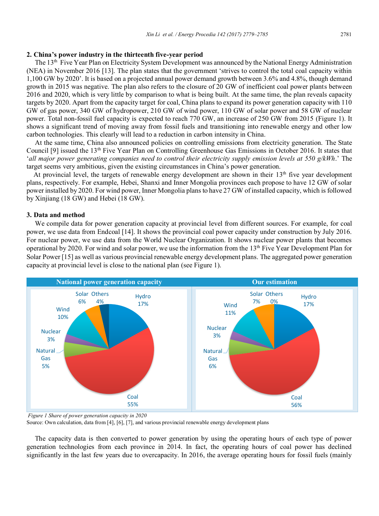## **2. China's power industry in the thirteenth five-year period**

The 13<sup>th</sup> Five Year Plan on Electricity System Development was announced by the National Energy Administration (NEA) in November 2016 [13]. The plan states that the government 'strives to control the total coal capacity within 1,100 GW by 2020'. It is based on a projected annual power demand growth between 3.6% and 4.8%, though demand growth in 2015 was negative. The plan also refers to the closure of 20 GW of inefficient coal power plants between 2016 and 2020, which is very little by comparison to what is being built. At the same time, the plan reveals capacity targets by 2020. Apart from the capacity target for coal, China plans to expand its power generation capacity with 110 GW of gas power, 340 GW of hydropower, 210 GW of wind power, 110 GW of solar power and 58 GW of nuclear power. Total non-fossil fuel capacity is expected to reach 770 GW, an increase of 250 GW from 2015 (Figure 1). It shows a significant trend of moving away from fossil fuels and transitioning into renewable energy and other low carbon technologies. This clearly will lead to a reduction in carbon intensity in China.

At the same time, China also announced policies on controlling emissions from electricity generation. The State Council [9] issued the 13th Five Year Plan on Controlling Greenhouse Gas Emissions in October 2016. It states that '*all major power generating companies need to control their electricity supply emission levels at 550 g/kWh*.' The target seems very ambitious, given the existing circumstances in China's power generation.

At provincial level, the targets of renewable energy development are shown in their 13<sup>th</sup> five year development plans, respectively. For example, Hebei, Shanxi and Inner Mongolia provinces each propose to have 12 GW of solar power installed by 2020. For wind power, Inner Mongolia plans to have 27 GW of installed capacity, which is followed by Xinjiang (18 GW) and Hebei (18 GW).

# **3. Data and method**

We compile data for power generation capacity at provincial level from different sources. For example, for coal power, we use data from Endcoal [14]. It shows the provincial coal power capacity under construction by July 2016. For nuclear power, we use data from the World Nuclear Organization. It shows nuclear power plants that becomes operational by 2020. For wind and solar power, we use the information from the  $13<sup>th</sup>$  Five Year Development Plan for Solar Power [15] as well as various provincial renewable energy development plans. The aggregated power generation capacity at provincial level is close to the national plan (see Figure 1).



*Figure 1 Share of power generation capacity in 2020* Source: Own calculation, data from [4], [6], [7], and various provincial renewable energy development plans

The capacity data is then converted to power generation by using the operating hours of each type of power generation technologies from each province in 2014. In fact, the operating hours of coal power has declined significantly in the last few years due to overcapacity. In 2016, the average operating hours for fossil fuels (mainly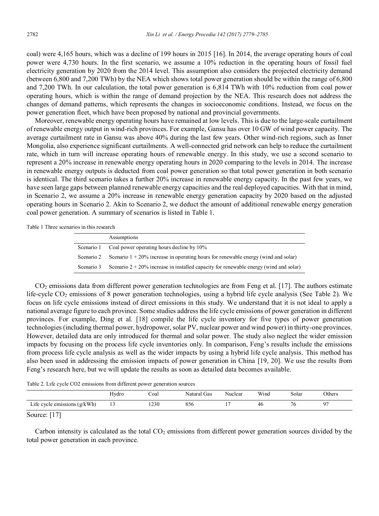coal) were 4,165 hours, which was a decline of 199 hours in 2015 [16]. In 2014, the average operating hours of coal power were 4,730 hours. In the first scenario, we assume a 10% reduction in the operating hours of fossil fuel electricity generation by 2020 from the 2014 level. This assumption also considers the projected electricity demand (between 6,800 and 7,200 TWh) by the NEA which shows total power generation should be within the range of 6,800 and 7,200 TWh. In our calculation, the total power generation is 6,814 TWh with 10% reduction from coal power operating hours, which is within the range of demand projection by the NEA. This research does not address the changes of demand patterns, which represents the changes in socioeconomic conditions. Instead, we focus on the power generation fleet, which have been proposed by national and provincial governments.

Moreover, renewable energy operating hours have remained at low levels. This is due to the large-scale curtailment of renewable energy output in wind-rich provinces. For example, Gansu has over 10 GW of wind power capacity. The average curtailment rate in Gansu was above 40% during the last few years. Other wind-rich regions, such as Inner Mongolia, also experience significant curtailments. A well-connected grid network can help to reduce the curtailment rate, which in turn will increase operating hours of renewable energy. In this study, we use a second scenario to represent a 20% increase in renewable energy operating hours in 2020 comparing to the levels in 2014. The increase in renewable energy outputs is deducted from coal power generation so that total power generation in both scenario is identical. The third scenario takes a further 20% increase in renewable energy capacity. In the past few years, we have seen large gaps between planned renewable energy capacities and the real deployed capacities. With that in mind, in Scenario 2, we assume a 20% increase in renewable energy generation capacity by 2020 based on the adjusted operating hours in Scenario 2. Akin to Scenario 2, we deduct the amount of additional renewable energy generation coal power generation. A summary of scenarios is listed in Table 1.

Table 1 Three scenarios in this research

|            | Assumptions                                                                              |
|------------|------------------------------------------------------------------------------------------|
| Scenario 1 | Coal power operating hours decline by 10%                                                |
| Scenario 2 | Scenario $1 + 20\%$ increase in operating hours for renewable energy (wind and solar)    |
| Scenario 3 | Scenario $2 + 20\%$ increase in installed capacity for renewable energy (wind and solar) |

 $CO<sub>2</sub>$  emissions data from different power generation technologies are from Feng et al. [17]. The authors estimate life-cycle CO<sub>2</sub> emissions of 8 power generation technologies, using a hybrid life cycle analysis (See Table 2). We focus on life cycle emissions instead of direct emissions in this study. We understand that it is not ideal to apply a national average figure to each province. Some studies address the life cycle emissions of power generation in different provinces. For example, Ding et al. [18] compile the life cycle inventory for five types of power generation technologies (including thermal power, hydropower, solar PV, nuclear power and wind power) in thirty-one provinces. However, detailed data are only introduced for thermal and solar power. The study also neglect the wider emission impacts by focusing on the process life cycle inventories only. In comparison, Feng's results include the emissions from process life cycle analysis as well as the wider impacts by using a hybrid life cycle analysis. This method has also been used in addressing the emission impacts of power generation in China [19, 20]. We use the results from Feng's research here, but we will update the results as soon as detailed data becomes available.

Table 2. Life cycle CO2 emissions from different power generation sources

|                                | Hydro | Coal | Natural Gas | $\mathbf{r}$<br>Nuclear | Wind | Solar | Others |
|--------------------------------|-------|------|-------------|-------------------------|------|-------|--------|
| Life cycle emissions $(g/kWh)$ |       | 1230 | 856         |                         | 4f   |       |        |

Source: [17]

Carbon intensity is calculated as the total  $CO<sub>2</sub>$  emissions from different power generation sources divided by the total power generation in each province.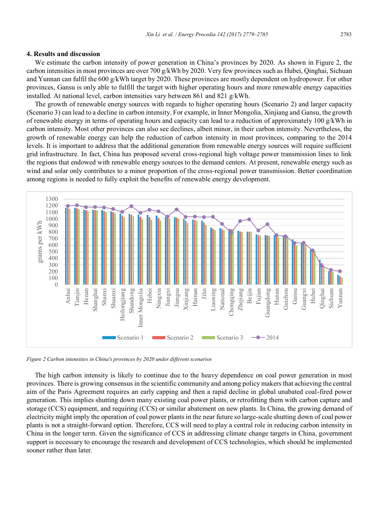### **4. Results and discussion**

We estimate the carbon intensity of power generation in China's provinces by 2020. As shown in Figure 2, the carbon intensities in most provinces are over 700 g/kWh by 2020. Very few provinces such as Hubei, Qinghai, Sichuan and Yunnan can fulfil the 600 g/kWh target by 2020. These provinces are mostly dependent on hydropower. For other provinces, Gansu is only able to fulfill the target with higher operating hours and more renewable energy capacities installed. At national level, carbon intensities vary between 861 and 821 g/kWh.

The growth of renewable energy sources with regards to higher operating hours (Scenario 2) and larger capacity (Scenario 3) can lead to a decline in carbon intensity. For example, in Inner Mongolia, Xinjiang and Gansu, the growth of renewable energy in terms of operating hours and capacity can lead to a reduction of approximately 100  $g/kWh$  in carbon intensity. Most other provinces can also see declines, albeit minor, in their carbon intensity. Nevertheless, the growth of renewable energy can help the reduction of carbon intensity in most provinces, comparing to the 2014 levels. It is important to address that the additional generation from renewable energy sources will require sufficient grid infrastructure. In fact, China has proposed several cross-regional high voltage power transmission lines to link the regions that endowed with renewable energy sources to the demand centers. At present, renewable energy such as wind and solar only contributes to a minor proportion of the cross-regional power transmission. Better coordination among regions is needed to fully exploit the benefits of renewable energy development.



*Figure 2 Carbon intensities in China's provinces by 2020 under different scenarios*

The high carbon intensity is likely to continue due to the heavy dependence on coal power generation in most provinces. There is growing consensus in the scientific community and among policy makers that achieving the central aim of the Paris Agreement requires an early capping and then a rapid decline in global unabated coal-fired power generation. This implies shutting down many existing coal power plants, or retrofitting them with carbon capture and storage (CCS) equipment, and requiring (CCS) or similar abatement on new plants. In China, the growing demand of electricity might imply the operation of coal power plants in the near future so large-scale shutting down of coal power plants is not a straight-forward option. Therefore, CCS will need to play a central role in reducing carbon intensity in China in the longer term. Given the significance of CCS in addressing climate change targets in China, government support is necessary to encourage the research and development of CCS technologies, which should be implemented sooner rather than later.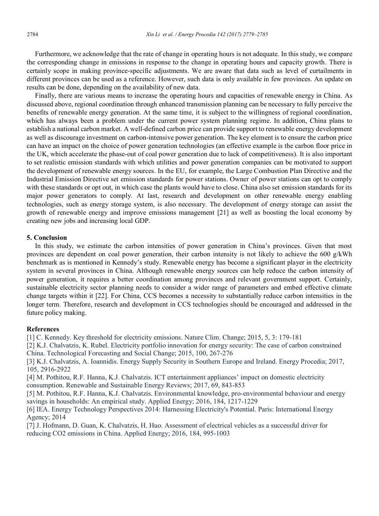Furthermore, we acknowledge that the rate of change in operating hours is not adequate. In this study, we compare the corresponding change in emissions in response to the change in operating hours and capacity growth. There is certainly scope in making province-specific adjustments. We are aware that data such as level of curtailments in different provinces can be used as a reference. However, such data is only available in few provinces. An update on results can be done, depending on the availability of new data.

Finally, there are various means to increase the operating hours and capacities of renewable energy in China. As discussed above, regional coordination through enhanced transmission planning can be necessary to fully perceive the benefits of renewable energy generation. At the same time, it is subject to the willingness of regional coordination, which has always been a problem under the current power system planning regime. In addition, China plans to establish a national carbon market. A well-defined carbon price can provide support to renewable energy development as well as discourage investment on carbon-intensive power generation. The key element is to ensure the carbon price can have an impact on the choice of power generation technologies (an effective example is the carbon floor price in the UK, which accelerate the phase-out of coal power generation due to lack of competitiveness). It is also important to set realistic emission standards with which utilities and power generation companies can be motivated to support the development of renewable energy sources. In the EU, for example, the Large Combustion Plan Directive and the Industrial Emission Directive set emission standards for power stations. Owner of power stations can opt to comply with these standards or opt out, in which case the plants would have to close. China also set emission standards for its major power generators to comply. At last, research and development on other renewable energy enabling technologies, such as energy storage system, is also necessary. The development of energy storage can assist the growth of renewable energy and improve emissions management [21] as well as boosting the local economy by creating new jobs and increasing local GDP.

# **5. Conclusion**

In this study, we estimate the carbon intensities of power generation in China's provinces. Given that most provinces are dependent on coal power generation, their carbon intensity is not likely to achieve the 600 g/kWh benchmark as is mentioned in Kennedy's study. Renewable energy has become a significant player in the electricity system in several provinces in China. Although renewable energy sources can help reduce the carbon intensity of power generation, it requires a better coordination among provinces and relevant government support. Certainly, sustainable electricity sector planning needs to consider a wider range of parameters and embed effective climate change targets within it [22]. For China, CCS becomes a necessity to substantially reduce carbon intensities in the longer term. Therefore, research and development in CCS technologies should be encouraged and addressed in the future policy making.

### **References**

[1] C. Kennedy. Key threshold for electricity emissions. Nature Clim. Change; 2015, 5, 3: 179-181

[2] K.J. Chalvatzis, K. Rubel. Electricity portfolio innovation for energy security: The case of carbon constrained China. Technological Forecasting and Social Change; 2015, 100, 267-276

[3] K.J. Chalvatzis, A. Ioannidis. Energy Supply Security in Southern Europe and Ireland. Energy Procedia; 2017, 105, 2916-2922

[4] M. Pothitou, R.F. Hanna, K.J. Chalvatzis. ICT entertainment appliances' impact on domestic electricity consumption. Renewable and Sustainable Energy Reviews; 2017, 69, 843-853

[5] M. Pothitou, R.F. Hanna, K.J. Chalvatzis. Environmental knowledge, pro-environmental behaviour and energy savings in households: An empirical study. Applied Energy; 2016, 184, 1217-1229

[6] IEA. Energy Technology Perspectives 2014: Harnessing Electricity's Potential. Paris: International Energy Agency; 2014

[7] J. Hofmann, D. Guan, K. Chalvatzis, H. Huo. Assessment of electrical vehicles as a successful driver for reducing CO2 emissions in China. Applied Energy; 2016, 184, 995-1003